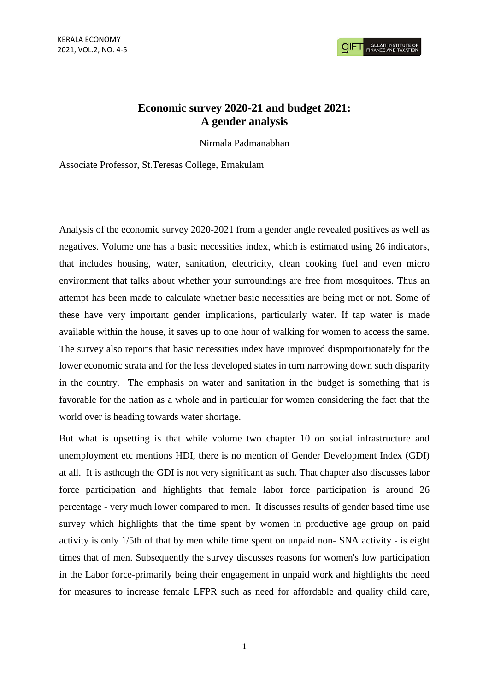## **Economic survey 2020-21 and budget 2021: A gender analysis**

Nirmala Padmanabhan

Associate Professor, St.Teresas College, Ernakulam

Analysis of the economic survey 2020-2021 from a gender angle revealed positives as well as negatives. Volume one has a basic necessities index, which is estimated using 26 indicators, that includes housing, water, sanitation, electricity, clean cooking fuel and even micro environment that talks about whether your surroundings are free from mosquitoes. Thus an attempt has been made to calculate whether basic necessities are being met or not. Some of these have very important gender implications, particularly water. If tap water is made available within the house, it saves up to one hour of walking for women to access the same. The survey also reports that basic necessities index have improved disproportionately for the lower economic strata and for the less developed states in turn narrowing down such disparity in the country. The emphasis on water and sanitation in the budget is something that is favorable for the nation as a whole and in particular for women considering the fact that the world over is heading towards water shortage.

But what is upsetting is that while volume two chapter 10 on social infrastructure and unemployment etc mentions HDI, there is no mention of Gender Development Index (GDI) at all. It is asthough the GDI is not very significant as such. That chapter also discusses labor force participation and highlights that female labor force participation is around 26 percentage - very much lower compared to men. It discusses results of gender based time use survey which highlights that the time spent by women in productive age group on paid activity is only 1/5th of that by men while time spent on unpaid non- SNA activity - is eight times that of men. Subsequently the survey discusses reasons for women's low participation in the Labor force-primarily being their engagement in unpaid work and highlights the need for measures to increase female LFPR such as need for affordable and quality child care,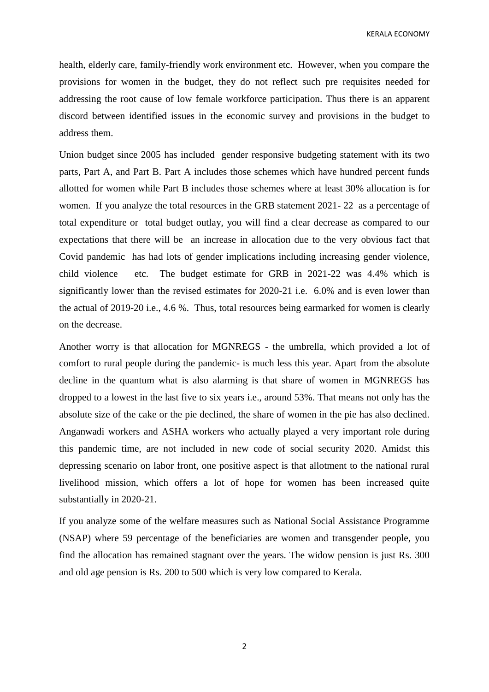KERALA ECONOMY

health, elderly care, family-friendly work environment etc. However, when you compare the provisions for women in the budget, they do not reflect such pre requisites needed for addressing the root cause of low female workforce participation. Thus there is an apparent discord between identified issues in the economic survey and provisions in the budget to address them.

Union budget since 2005 has included gender responsive budgeting statement with its two parts, Part A, and Part B. Part A includes those schemes which have hundred percent funds allotted for women while Part B includes those schemes where at least 30% allocation is for women. If you analyze the total resources in the GRB statement 2021- 22 as a percentage of total expenditure or total budget outlay, you will find a clear decrease as compared to our expectations that there will be an increase in allocation due to the very obvious fact that Covid pandemic has had lots of gender implications including increasing gender violence, child violence etc. The budget estimate for GRB in 2021-22 was 4.4% which is significantly lower than the revised estimates for 2020-21 i.e. 6.0% and is even lower than the actual of 2019-20 i.e., 4.6 %. Thus, total resources being earmarked for women is clearly on the decrease.

Another worry is that allocation for MGNREGS - the umbrella, which provided a lot of comfort to rural people during the pandemic- is much less this year. Apart from the absolute decline in the quantum what is also alarming is that share of women in MGNREGS has dropped to a lowest in the last five to six years i.e., around 53%. That means not only has the absolute size of the cake or the pie declined, the share of women in the pie has also declined. Anganwadi workers and ASHA workers who actually played a very important role during this pandemic time, are not included in new code of social security 2020. Amidst this depressing scenario on labor front, one positive aspect is that allotment to the national rural livelihood mission, which offers a lot of hope for women has been increased quite substantially in 2020-21.

If you analyze some of the welfare measures such as National Social Assistance Programme (NSAP) where 59 percentage of the beneficiaries are women and transgender people, you find the allocation has remained stagnant over the years. The widow pension is just Rs. 300 and old age pension is Rs. 200 to 500 which is very low compared to Kerala.

2